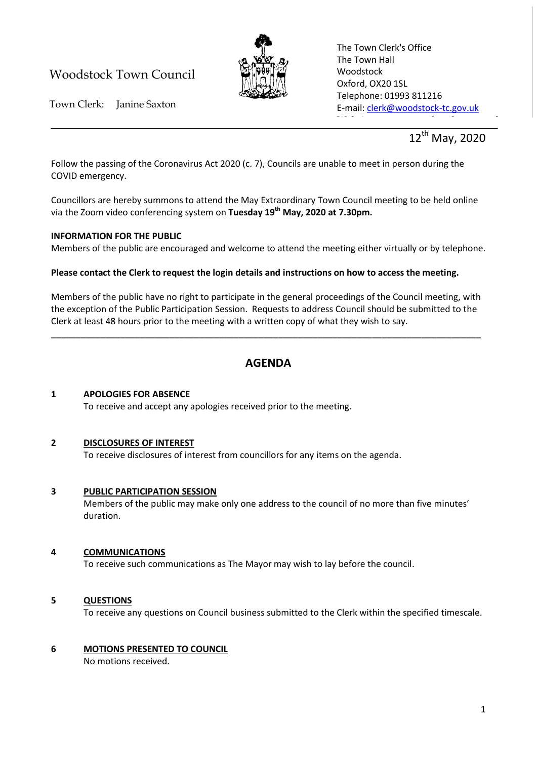# Woodstock Town Council



The Town Clerk's Office The Town Hall Woodstock Oxford, OX20 1SL Telephone: 01993 811216 E-mail: [clerk@woodstock-tc.gov.uk](mailto:clerk@woodstock-tc.gov.uk)

website: www.woodstock-tc.gov.uk<br>http://www.woodstock-tc.gov.uk

Town Clerk: Janine Saxton

12<sup>th</sup> May, 2020

Follow the passing of the Coronavirus Act 2020 (c. 7), Councils are unable to meet in person during the COVID emergency.

Councillors are hereby summons to attend the May Extraordinary Town Council meeting to be held online via the Zoom video conferencing system on **Tuesday 19th May, 2020 at 7.30pm.**

## **INFORMATION FOR THE PUBLIC**

Members of the public are encouraged and welcome to attend the meeting either virtually or by telephone.

## **Please contact the Clerk to request the login details and instructions on how to access the meeting.**

Members of the public have no right to participate in the general proceedings of the Council meeting, with the exception of the Public Participation Session. Requests to address Council should be submitted to the Clerk at least 48 hours prior to the meeting with a written copy of what they wish to say.

\_\_\_\_\_\_\_\_\_\_\_\_\_\_\_\_\_\_\_\_\_\_\_\_\_\_\_\_\_\_\_\_\_\_\_\_\_\_\_\_\_\_\_\_\_\_\_\_\_\_\_\_\_\_\_\_\_\_\_\_\_\_\_\_\_\_\_\_\_\_\_\_\_\_\_\_\_\_\_\_\_\_\_\_\_\_\_

# **AGENDA**

#### **1 APOLOGIES FOR ABSENCE** To receive and accept any apologies received prior to the meeting.

## **2 DISCLOSURES OF INTEREST**

To receive disclosures of interest from councillors for any items on the agenda.

## **3 PUBLIC PARTICIPATION SESSION**

Members of the public may make only one address to the council of no more than five minutes' duration.

## **4 COMMUNICATIONS**

To receive such communications as The Mayor may wish to lay before the council.

## **5 QUESTIONS**

To receive any questions on Council business submitted to the Clerk within the specified timescale.

## **6 MOTIONS PRESENTED TO COUNCIL**

No motions received.